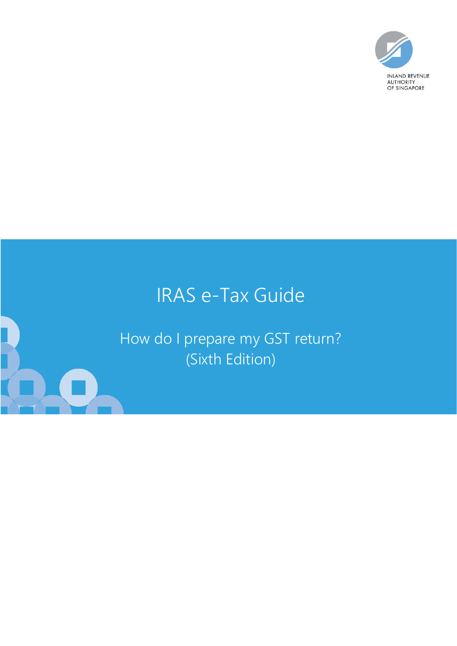

# IRAS e-Tax Guide

How do I prepare my GST return? (Sixth Edition)

.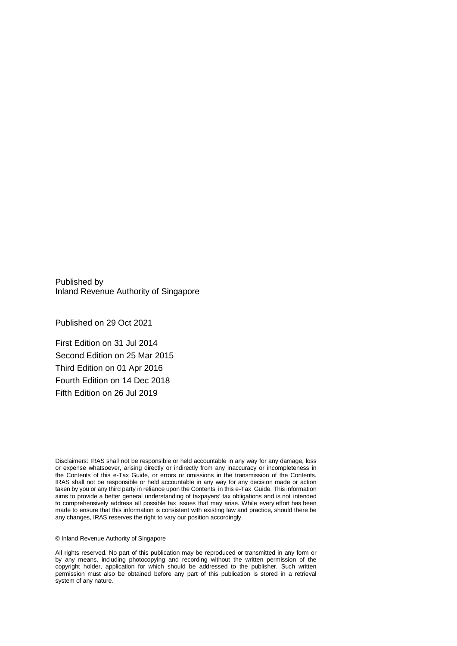Published by Inland Revenue Authority of Singapore

Published on 29 Oct 2021

First Edition on 31 Jul 2014 Second Edition on 25 Mar 2015 Third Edition on 01 Apr 2016 Fourth Edition on 14 Dec 2018 Fifth Edition on 26 Jul 2019

Disclaimers: IRAS shall not be responsible or held accountable in any way for any damage, loss or expense whatsoever, arising directly or indirectly from any inaccuracy or incompleteness in the Contents of this e-Tax Guide, or errors or omissions in the transmission of the Contents. IRAS shall not be responsible or held accountable in any way for any decision made or action taken by you or any third party in reliance upon the Contents in this e-Tax Guide. This information aims to provide a better general understanding of taxpayers' tax obligations and is not intended to comprehensively address all possible tax issues that may arise. While every effort has been made to ensure that this information is consistent with existing law and practice, should there be any changes, IRAS reserves the right to vary our position accordingly.

© Inland Revenue Authority of Singapore

All rights reserved. No part of this publication may be reproduced or transmitted in any form or by any means, including photocopying and recording without the written permission of the copyright holder, application for which should be addressed to the publisher. Such written permission must also be obtained before any part of this publication is stored in a retrieval system of any nature.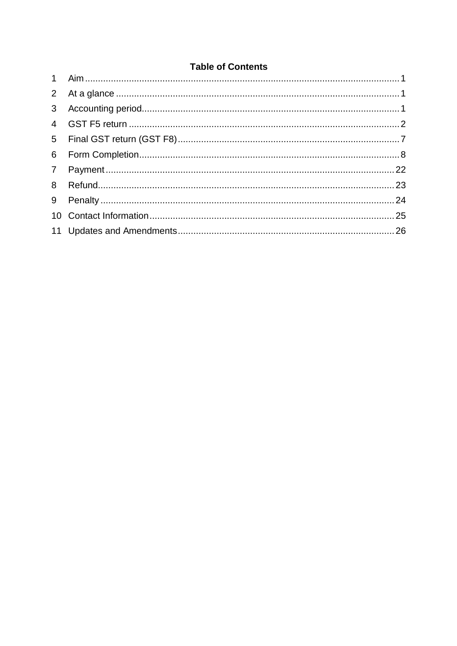## **Table of Contents**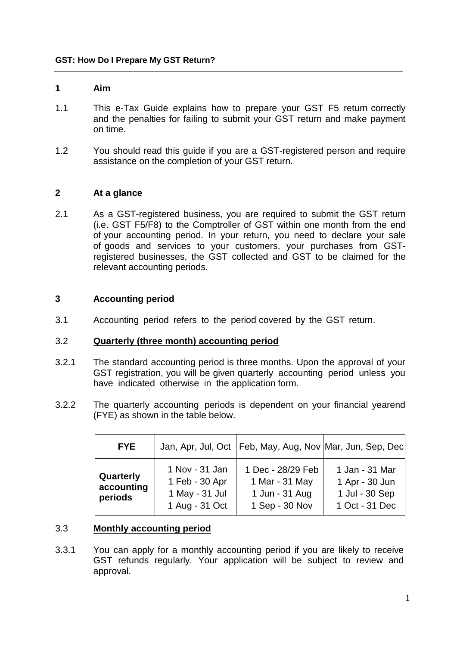#### **1 Aim**

- 1.1 This e-Tax Guide explains how to prepare your GST F5 return correctly and the penalties for failing to submit your GST return and make payment on time.
- 1.2 You should read this guide if you are a GST-registered person and require assistance on the completion of your GST return.

#### **2 At a glance**

2.1 As a GST-registered business, you are required to submit the GST return (i.e. GST F5/F8) to the Comptroller of GST within one month from the end of your accounting period. In your return, you need to declare your sale of goods and services to your customers, your purchases from GSTregistered businesses, the GST collected and GST to be claimed for the relevant accounting periods.

#### **3 Accounting period**

3.1 Accounting period refers to the period covered by the GST return.

#### 3.2 **Quarterly (three month) accounting period**

- 3.2.1 The standard accounting period is three months. Upon the approval of your GST registration, you will be given quarterly accounting period unless you have indicated otherwise in the application form.
- 3.2.2 The quarterly accounting periods is dependent on your financial yearend (FYE) as shown in the table below.

| <b>FYE</b>                         |                                                                      | Jan, Apr, Jul, Oct   Feb, May, Aug, Nov   Mar, Jun, Sep, Dec            |                                                                      |
|------------------------------------|----------------------------------------------------------------------|-------------------------------------------------------------------------|----------------------------------------------------------------------|
| Quarterly<br>accounting<br>periods | 1 Nov - 31 Jan<br>1 Feb - 30 Apr<br>1 May - 31 Jul<br>1 Aug - 31 Oct | 1 Dec - 28/29 Feb<br>1 Mar - 31 May<br>1 Jun - 31 Aug<br>1 Sep - 30 Nov | 1 Jan - 31 Mar<br>1 Apr - 30 Jun<br>1 Jul - 30 Sep<br>1 Oct - 31 Dec |

#### 3.3 **Monthly accounting period**

3.3.1 You can apply for a monthly accounting period if you are likely to receive GST refunds regularly. Your application will be subject to review and approval.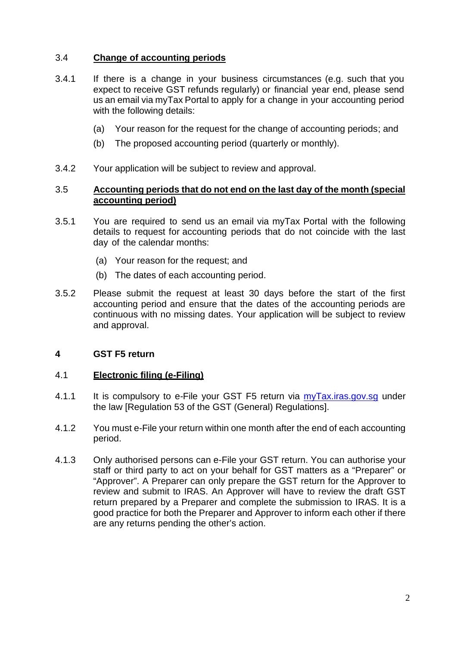## 3.4 **Change of accounting periods**

- 3.4.1 If there is a change in your business circumstances (e.g. such that you expect to receive GST refunds regularly) or financial year end, please send us an email via myTax Portal to apply for a change in your accounting period with the following details:
	- (a) Your reason for the request for the change of accounting periods; and
	- (b) The proposed accounting period (quarterly or monthly).
- 3.4.2 Your application will be subject to review and approval.

#### 3.5 **Accounting periods that do not end on the last day of the month (special accounting period)**

- 3.5.1 You are required to send us an email via myTax Portal with the following details to request for accounting periods that do not coincide with the last day of the calendar months:
	- (a) Your reason for the request; and
	- (b) The dates of each accounting period.
- 3.5.2 Please submit the request at least 30 days before the start of the first accounting period and ensure that the dates of the accounting periods are continuous with no missing dates. Your application will be subject to review and approval.

#### **4 GST F5 return**

#### 4.1 **Electronic filing (e-Filing)**

- 4.1.1 It is compulsory to e-File your GST F5 return via myTax.iras.gov.sg under the law [Regulation 53 of the GST (General) Regulations].
- 4.1.2 You must e-File your return within one month after the end of each accounting period.
- 4.1.3 Only authorised persons can e-File your GST return. You can authorise your staff or third party to act on your behalf for GST matters as a "Preparer" or "Approver". A Preparer can only prepare the GST return for the Approver to review and submit to IRAS. An Approver will have to review the draft GST return prepared by a Preparer and complete the submission to IRAS. It is a good practice for both the Preparer and Approver to inform each other if there are any returns pending the other's action.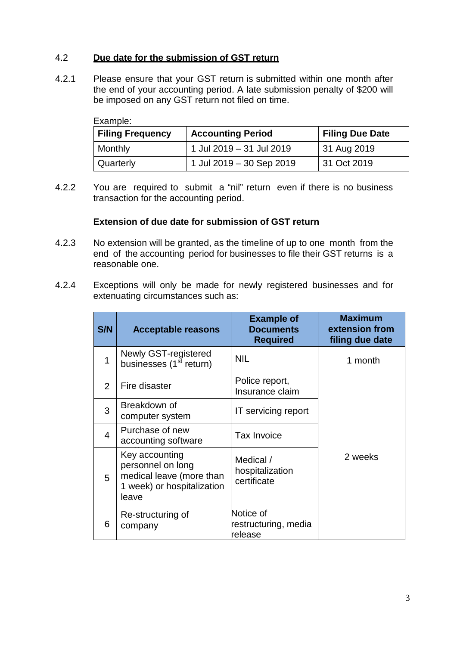## 4.2 **Due date for the submission of GST return**

4.2.1 Please ensure that your GST return is submitted within one month after the end of your accounting period. A late submission penalty of \$200 will be imposed on any GST return not filed on time.

| Example:                |                          |                        |  |  |
|-------------------------|--------------------------|------------------------|--|--|
| <b>Filing Frequency</b> | <b>Accounting Period</b> | <b>Filing Due Date</b> |  |  |
| Monthly                 | 1 Jul 2019 - 31 Jul 2019 | 31 Aug 2019            |  |  |
| Quarterly               | 1 Jul 2019 - 30 Sep 2019 | 31 Oct 2019            |  |  |

4.2.2 You are required to submit a "nil" return even if there is no business transaction for the accounting period.

#### **Extension of due date for submission of GST return**

- 4.2.3 No extension will be granted, as the timeline of up to one month from the end of the accounting period for businesses to file their GST returns is a reasonable one.
- 4.2.4 Exceptions will only be made for newly registered businesses and for extenuating circumstances such as:

| S/N | <b>Acceptable reasons</b>                                                                              | <b>Example of</b><br><b>Documents</b><br><b>Required</b> | <b>Maximum</b><br>extension from<br>filing due date |
|-----|--------------------------------------------------------------------------------------------------------|----------------------------------------------------------|-----------------------------------------------------|
| 1   | Newly GST-registered<br>businesses (1 <sup>st</sup> return)                                            | NIL                                                      | 1 month                                             |
| 2   | Fire disaster                                                                                          | Police report,<br>Insurance claim                        |                                                     |
| 3   | Breakdown of<br>computer system                                                                        | IT servicing report                                      |                                                     |
| 4   | Purchase of new<br>accounting software                                                                 | <b>Tax Invoice</b>                                       |                                                     |
| 5   | Key accounting<br>personnel on long<br>medical leave (more than<br>1 week) or hospitalization<br>leave | Medical /<br>hospitalization<br>certificate              | 2 weeks                                             |
| 6   | Re-structuring of<br>company                                                                           | Notice of<br>restructuring, media<br>release             |                                                     |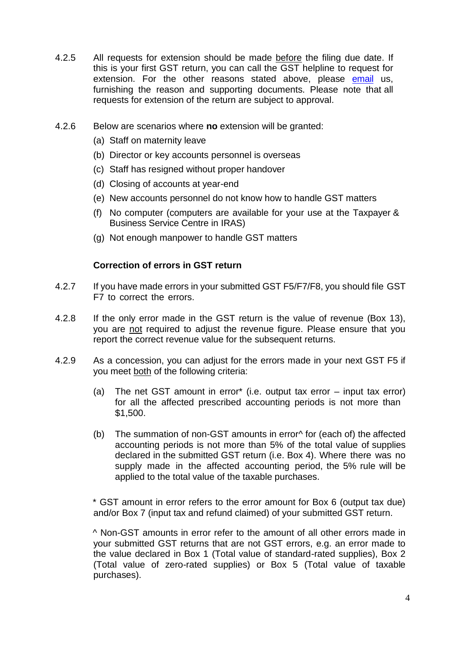- 4.2.5 All requests for extension should be made before the filing due date. If this is your first GST return, you can call the GST helpline to request for extension. For the other reasons stated above, please email us, furnishing the reason and supporting documents. Please note that all requests for extension of the return are subject to approval.
- 4.2.6 Below are scenarios where **no** extension will be granted:
	- (a) Staff on maternity leave
	- (b) Director or key accounts personnel is overseas
	- (c) Staff has resigned without proper handover
	- (d) Closing of accounts at year-end
	- (e) New accounts personnel do not know how to handle GST matters
	- (f) No computer (computers are available for your use at the Taxpayer & Business Service Centre in IRAS)
	- (g) Not enough manpower to handle GST matters

#### **Correction of errors in GST return**

- 4.2.7 If you have made errors in your submitted GST F5/F7/F8, you should file GST F7 to correct the errors.
- 4.2.8 If the only error made in the GST return is the value of revenue (Box 13), you are not required to adjust the revenue figure. Please ensure that you report the correct revenue value for the subsequent returns.
- 4.2.9 As a concession, you can adjust for the errors made in your next GST F5 if you meet both of the following criteria:
	- (a) The net GST amount in error\* (i.e. output tax error input tax error) for all the affected prescribed accounting periods is not more than \$1,500.
	- (b) The summation of non-GST amounts in error^ for (each of) the affected accounting periods is not more than 5% of the total value of supplies declared in the submitted GST return (i.e. Box 4). Where there was no supply made in the affected accounting period, the 5% rule will be applied to the total value of the taxable purchases.

\* GST amount in error refers to the error amount for Box 6 (output tax due) and/or Box 7 (input tax and refund claimed) of your submitted GST return.

^ Non-GST amounts in error refer to the amount of all other errors made in your submitted GST returns that are not GST errors, e.g. an error made to the value declared in Box 1 (Total value of standard-rated supplies), Box 2 (Total value of zero-rated supplies) or Box 5 (Total value of taxable purchases).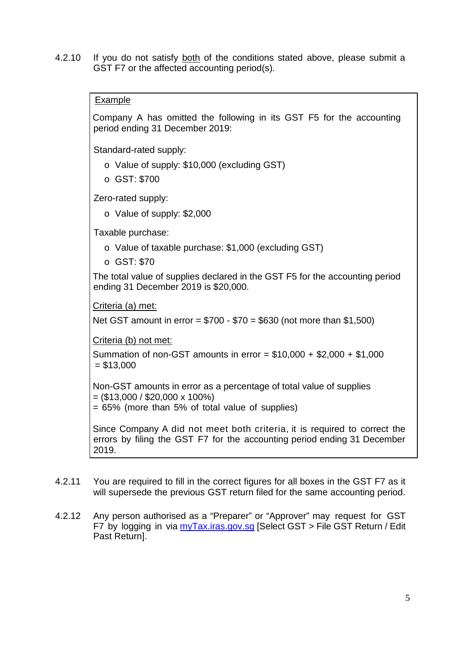4.2.10 If you do not satisfy both of the conditions stated above, please submit a GST F7 or the affected accounting period(s).

#### Example

Company A has omitted the following in its GST F5 for the accounting period ending 31 December 2019:

Standard-rated supply:

- o Value of supply: \$10,000 (excluding GST)
- o GST: \$700

Zero-rated supply:

o Value of supply: \$2,000

Taxable purchase:

- o Value of taxable purchase: \$1,000 (excluding GST)
- o GST: \$70

The total value of supplies declared in the GST F5 for the accounting period ending 31 December 2019 is \$20,000.

Criteria (a) met:

Net GST amount in error = \$700 - \$70 = \$630 (not more than \$1,500)

Criteria (b) not met:

Summation of non-GST amounts in error  $= $10,000 + $2,000 + $1,000$  $= $13,000$ 

Non-GST amounts in error as a percentage of total value of supplies  $=$  (\$13,000 / \$20,000 x 100%)

 $= 65\%$  (more than 5% of total value of supplies)

Since Company A did not meet both criteria, it is required to correct the errors by filing the GST F7 for the accounting period ending 31 December 2019.

- 4.2.11 You are required to fill in the correct figures for all boxes in the GST F7 as it will supersede the previous GST return filed for the same accounting period.
- 4.2.12 Any person authorised as a "Preparer" or "Approver" may request for GST F7 by logging in via myTax.iras.gov.sg [Select GST > File GST Return / Edit Past Return].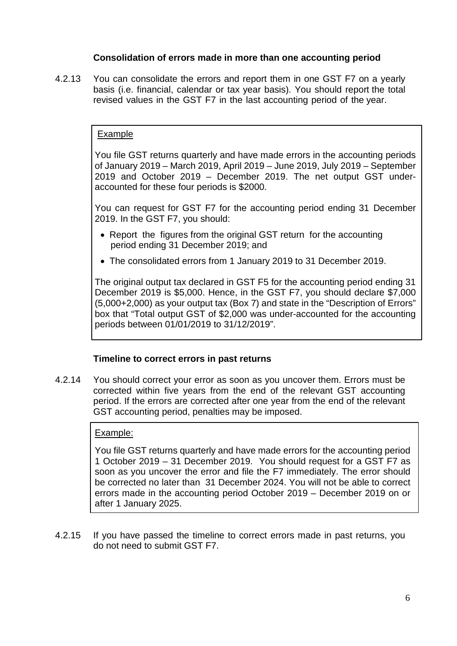## **Consolidation of errors made in more than one accounting period**

4.2.13 You can consolidate the errors and report them in one GST F7 on a yearly basis (i.e. financial, calendar or tax year basis). You should report the total revised values in the GST F7 in the last accounting period of the year.

#### Example

You file GST returns quarterly and have made errors in the accounting periods of January 2019 – March 2019, April 2019 – June 2019, July 2019 – September 2019 and October 2019 – December 2019. The net output GST underaccounted for these four periods is \$2000.

You can request for GST F7 for the accounting period ending 31 December 2019. In the GST F7, you should:

- Report the figures from the original GST return for the accounting period ending 31 December 2019; and
- The consolidated errors from 1 January 2019 to 31 December 2019.

The original output tax declared in GST F5 for the accounting period ending 31 December 2019 is \$5,000. Hence, in the GST F7, you should declare \$7,000 (5,000+2,000) as your output tax (Box 7) and state in the "Description of Errors" box that "Total output GST of \$2,000 was under-accounted for the accounting periods between 01/01/2019 to 31/12/2019".

#### **Timeline to correct errors in past returns**

4.2.14 You should correct your error as soon as you uncover them. Errors must be corrected within five years from the end of the relevant GST accounting period. If the errors are corrected after one year from the end of the relevant GST accounting period, penalties may be imposed.

#### Example:

You file GST returns quarterly and have made errors for the accounting period 1 October 2019 – 31 December 2019. You should request for a GST F7 as soon as you uncover the error and file the F7 immediately. The error should be corrected no later than 31 December 2024. You will not be able to correct errors made in the accounting period October 2019 – December 2019 on or after 1 January 2025.

4.2.15 If you have passed the timeline to correct errors made in past returns, you do not need to submit GST F7.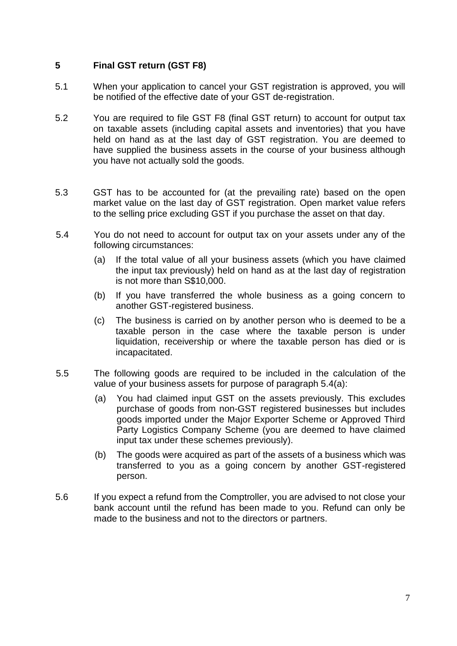## **5 Final GST return (GST F8)**

- 5.1 When your application to cancel your GST registration is approved, you will be notified of the effective date of your GST de-registration.
- 5.2 You are required to file GST F8 (final GST return) to account for output tax on taxable assets (including capital assets and inventories) that you have held on hand as at the last day of GST registration. You are deemed to have supplied the business assets in the course of your business although you have not actually sold the goods.
- 5.3 GST has to be accounted for (at the prevailing rate) based on the open market value on the last day of GST registration. Open market value refers to the selling price excluding GST if you purchase the asset on that day.
- 5.4 You do not need to account for output tax on your assets under any of the following circumstances:
	- (a) If the total value of all your business assets (which you have claimed the input tax previously) held on hand as at the last day of registration is not more than S\$10,000.
	- (b) If you have transferred the whole business as a going concern to another GST-registered business.
	- (c) The business is carried on by another person who is deemed to be a taxable person in the case where the taxable person is under liquidation, receivership or where the taxable person has died or is incapacitated.
- 5.5 The following goods are required to be included in the calculation of the value of your business assets for purpose of paragraph 5.4(a):
	- (a) You had claimed input GST on the assets previously. This excludes purchase of goods from non-GST registered businesses but includes goods imported under the Major Exporter Scheme or Approved Third Party Logistics Company Scheme (you are deemed to have claimed input tax under these schemes previously).
	- (b) The goods were acquired as part of the assets of a business which was transferred to you as a going concern by another GST-registered person.
- 5.6 If you expect a refund from the Comptroller, you are advised to not close your bank account until the refund has been made to you. Refund can only be made to the business and not to the directors or partners.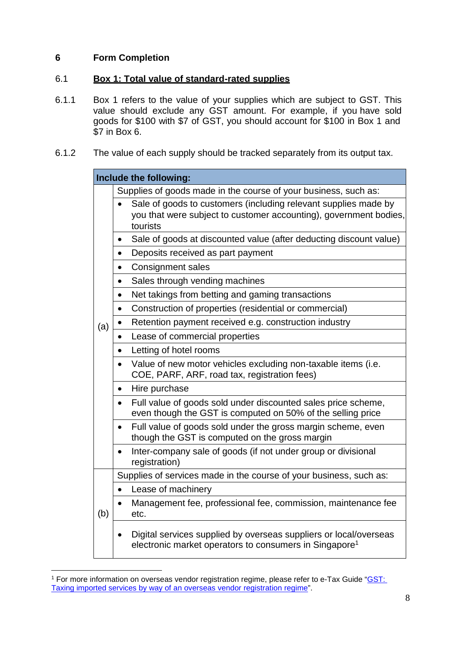## **6 Form Completion**

## 6.1 **Box 1: Total value of standard-rated supplies**

- 6.1.1 Box 1 refers to the value of your supplies which are subject to GST. This value should exclude any GST amount. For example, if you have sold goods for \$100 with \$7 of GST, you should account for \$100 in Box 1 and \$7 in Box 6.
- 6.1.2 The value of each supply should be tracked separately from its output tax.

|     | Include the following:                                                                                                                               |  |  |  |  |
|-----|------------------------------------------------------------------------------------------------------------------------------------------------------|--|--|--|--|
|     | Supplies of goods made in the course of your business, such as:                                                                                      |  |  |  |  |
|     | Sale of goods to customers (including relevant supplies made by<br>you that were subject to customer accounting), government bodies,<br>tourists     |  |  |  |  |
|     | Sale of goods at discounted value (after deducting discount value)<br>$\bullet$                                                                      |  |  |  |  |
|     | Deposits received as part payment<br>$\bullet$                                                                                                       |  |  |  |  |
|     | <b>Consignment sales</b><br>$\bullet$                                                                                                                |  |  |  |  |
|     | Sales through vending machines<br>$\bullet$                                                                                                          |  |  |  |  |
|     | Net takings from betting and gaming transactions<br>$\bullet$                                                                                        |  |  |  |  |
|     | Construction of properties (residential or commercial)<br>$\bullet$                                                                                  |  |  |  |  |
| (a) | Retention payment received e.g. construction industry<br>$\bullet$                                                                                   |  |  |  |  |
|     | Lease of commercial properties<br>$\bullet$                                                                                                          |  |  |  |  |
|     | Letting of hotel rooms<br>$\bullet$                                                                                                                  |  |  |  |  |
|     | Value of new motor vehicles excluding non-taxable items (i.e.<br>COE, PARF, ARF, road tax, registration fees)                                        |  |  |  |  |
|     | Hire purchase<br>$\bullet$                                                                                                                           |  |  |  |  |
|     | Full value of goods sold under discounted sales price scheme,<br>$\bullet$<br>even though the GST is computed on 50% of the selling price            |  |  |  |  |
|     | Full value of goods sold under the gross margin scheme, even<br>though the GST is computed on the gross margin                                       |  |  |  |  |
|     | Inter-company sale of goods (if not under group or divisional<br>registration)                                                                       |  |  |  |  |
|     | Supplies of services made in the course of your business, such as:                                                                                   |  |  |  |  |
|     | Lease of machinery<br>$\bullet$                                                                                                                      |  |  |  |  |
| (b) | Management fee, professional fee, commission, maintenance fee<br>etc.                                                                                |  |  |  |  |
|     | Digital services supplied by overseas suppliers or local/overseas<br>$\bullet$<br>electronic market operators to consumers in Singapore <sup>1</sup> |  |  |  |  |

<sup>&</sup>lt;sup>1</sup> For more information on overseas vendor registration regime, please refer to e-Tax Guide "CST: Taxing imported services by way of an overseas vendor registration regime".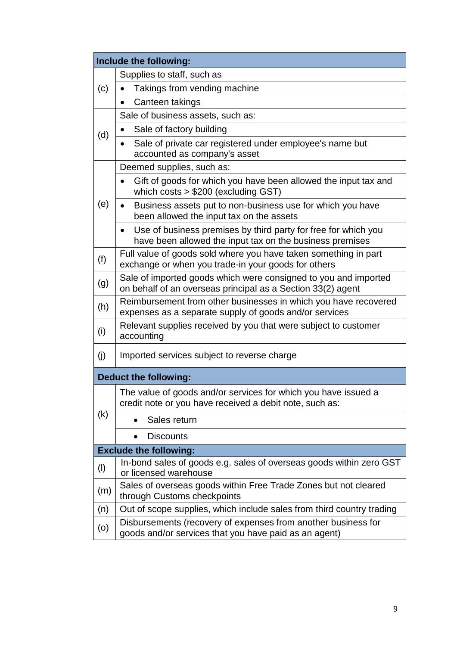|                               | Include the following:                                                                                                                  |  |  |  |
|-------------------------------|-----------------------------------------------------------------------------------------------------------------------------------------|--|--|--|
|                               | Supplies to staff, such as                                                                                                              |  |  |  |
| (c)                           | Takings from vending machine                                                                                                            |  |  |  |
|                               | Canteen takings<br>$\bullet$                                                                                                            |  |  |  |
|                               | Sale of business assets, such as:                                                                                                       |  |  |  |
| (d)                           | Sale of factory building<br>$\bullet$                                                                                                   |  |  |  |
|                               | Sale of private car registered under employee's name but<br>$\bullet$<br>accounted as company's asset                                   |  |  |  |
|                               | Deemed supplies, such as:                                                                                                               |  |  |  |
|                               | Gift of goods for which you have been allowed the input tax and<br>which costs $> $200$ (excluding GST)                                 |  |  |  |
| (e)                           | Business assets put to non-business use for which you have<br>been allowed the input tax on the assets                                  |  |  |  |
|                               | Use of business premises by third party for free for which you<br>$\bullet$<br>have been allowed the input tax on the business premises |  |  |  |
| (f)                           | Full value of goods sold where you have taken something in part<br>exchange or when you trade-in your goods for others                  |  |  |  |
| (g)                           | Sale of imported goods which were consigned to you and imported<br>on behalf of an overseas principal as a Section 33(2) agent          |  |  |  |
| (h)                           | Reimbursement from other businesses in which you have recovered<br>expenses as a separate supply of goods and/or services               |  |  |  |
| (i)                           | Relevant supplies received by you that were subject to customer<br>accounting                                                           |  |  |  |
| (j)                           | Imported services subject to reverse charge                                                                                             |  |  |  |
| <b>Deduct the following:</b>  |                                                                                                                                         |  |  |  |
|                               | The value of goods and/or services for which you have issued a<br>credit note or you have received a debit note, such as:               |  |  |  |
| (k)                           | Sales return<br>$\bullet$                                                                                                               |  |  |  |
|                               | <b>Discounts</b><br>$\bullet$                                                                                                           |  |  |  |
| <b>Exclude the following:</b> |                                                                                                                                         |  |  |  |
| $($ l $)$                     | In-bond sales of goods e.g. sales of overseas goods within zero GST<br>or licensed warehouse                                            |  |  |  |
| (m)                           | Sales of overseas goods within Free Trade Zones but not cleared<br>through Customs checkpoints                                          |  |  |  |
| (n)                           | Out of scope supplies, which include sales from third country trading                                                                   |  |  |  |
| (o)                           | Disbursements (recovery of expenses from another business for<br>goods and/or services that you have paid as an agent)                  |  |  |  |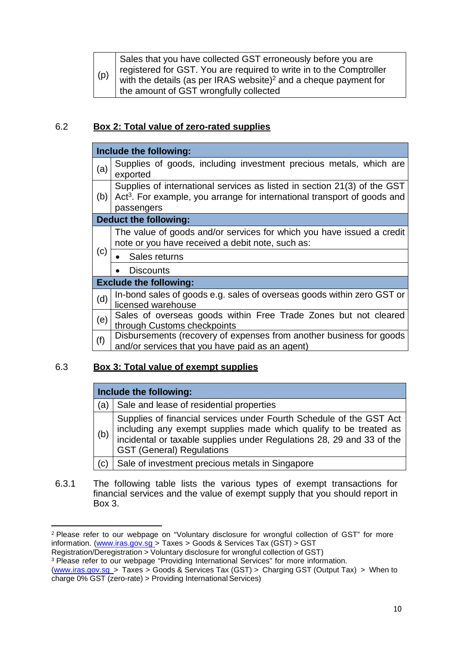| (p) | Sales that you have collected GST erroneously before you are<br>  registered for GST. You are required to write in to the Comptroller<br>with the details (as per IRAS website) <sup>2</sup> and a cheque payment for |
|-----|-----------------------------------------------------------------------------------------------------------------------------------------------------------------------------------------------------------------------|
|     | I the amount of GST wrongfully collected                                                                                                                                                                              |

## 6.2 **Box 2: Total value of zero-rated supplies**

|     | Include the following:                                                                                                                                                                     |  |  |  |
|-----|--------------------------------------------------------------------------------------------------------------------------------------------------------------------------------------------|--|--|--|
| (a) | Supplies of goods, including investment precious metals, which are<br>exported                                                                                                             |  |  |  |
|     | Supplies of international services as listed in section 21(3) of the GST<br>(b) $\vert$ Act <sup>3</sup> . For example, you arrange for international transport of goods and<br>passengers |  |  |  |
|     | Deduct the following:                                                                                                                                                                      |  |  |  |
|     | The value of goods and/or services for which you have issued a credit<br>note or you have received a debit note, such as:                                                                  |  |  |  |
| (c) | Sales returns                                                                                                                                                                              |  |  |  |
|     | <b>Discounts</b>                                                                                                                                                                           |  |  |  |
|     | <b>Exclude the following:</b>                                                                                                                                                              |  |  |  |
| (d) | In-bond sales of goods e.g. sales of overseas goods within zero GST or<br>licensed warehouse                                                                                               |  |  |  |
| (e) | Sales of overseas goods within Free Trade Zones but not cleared                                                                                                                            |  |  |  |
|     | through Customs checkpoints                                                                                                                                                                |  |  |  |
| (f) | Disbursements (recovery of expenses from another business for goods                                                                                                                        |  |  |  |
|     | and/or services that you have paid as an agent)                                                                                                                                            |  |  |  |

#### 6.3 **Box 3: Total value of exempt supplies**

## **Include the following:**

| (a  | Sale and lease of residential properties                                                                                                                                                                                                           |
|-----|----------------------------------------------------------------------------------------------------------------------------------------------------------------------------------------------------------------------------------------------------|
| (b) | Supplies of financial services under Fourth Schedule of the GST Act<br>including any exempt supplies made which qualify to be treated as incidental or taxable supplies under Regulations 28, 29 and 33 of the<br><b>GST (General) Regulations</b> |
| (c) | Sale of investment precious metals in Singapore                                                                                                                                                                                                    |

6.3.1 The following table lists the various types of exempt transactions for financial services and the value of exempt supply that you should report in Box 3.

<sup>&</sup>lt;sup>2</sup> Please refer to our webpage on "Voluntary disclosure for wrongful collection of GST" for more information. (www.iras.gov.sg > Taxes > Goods & Services Tax (GST) > GST

Registration/Deregistration > Voluntary disclosure for wrongful collection of GST)

<sup>&</sup>lt;sup>3</sup> Please refer to our webpage "Providing International Services" for more information.

<sup>(</sup>www.iras.gov.sg > Taxes > Goods & Services Tax (GST) > Charging GST (Output Tax) > When to charge 0% GST (zero-rate) > Providing International Services)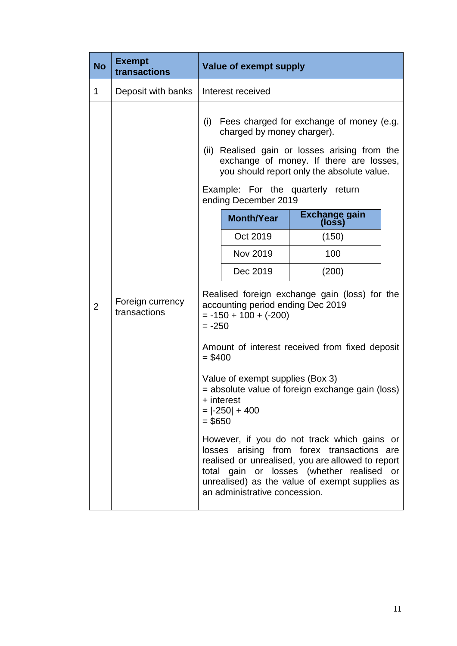| <b>No</b>      | <b>Exempt</b><br>transactions    |           | <b>Value of exempt supply</b>                                      |                                                                                                                                                                                                                                                  |
|----------------|----------------------------------|-----------|--------------------------------------------------------------------|--------------------------------------------------------------------------------------------------------------------------------------------------------------------------------------------------------------------------------------------------|
| 1              | Deposit with banks               |           | Interest received                                                  |                                                                                                                                                                                                                                                  |
|                |                                  | (i)       | charged by money charger).                                         | Fees charged for exchange of money (e.g.<br>(ii) Realised gain or losses arising from the<br>exchange of money. If there are losses,<br>you should report only the absolute value.                                                               |
|                |                                  |           | ending December 2019                                               | Example: For the quarterly return                                                                                                                                                                                                                |
|                |                                  |           | <b>Month/Year</b>                                                  | Exchange gain<br>(loss)                                                                                                                                                                                                                          |
|                |                                  |           | Oct 2019                                                           | (150)                                                                                                                                                                                                                                            |
|                |                                  |           | Nov 2019                                                           | 100                                                                                                                                                                                                                                              |
|                | Foreign currency<br>transactions |           | Dec 2019                                                           | (200)                                                                                                                                                                                                                                            |
| $\overline{2}$ |                                  | $= -250$  | accounting period ending Dec 2019<br>$= -150 + 100 + (-200)$       | Realised foreign exchange gain (loss) for the                                                                                                                                                                                                    |
|                |                                  | $= $400$  |                                                                    | Amount of interest received from fixed deposit                                                                                                                                                                                                   |
|                |                                  | $=$ \$650 | Value of exempt supplies (Box 3)<br>+ interest<br>$=  -250  + 400$ | = absolute value of foreign exchange gain (loss)                                                                                                                                                                                                 |
|                |                                  |           | an administrative concession.                                      | However, if you do not track which gains or<br>losses arising from forex transactions are<br>realised or unrealised, you are allowed to report<br>total gain or losses (whether realised<br>or<br>unrealised) as the value of exempt supplies as |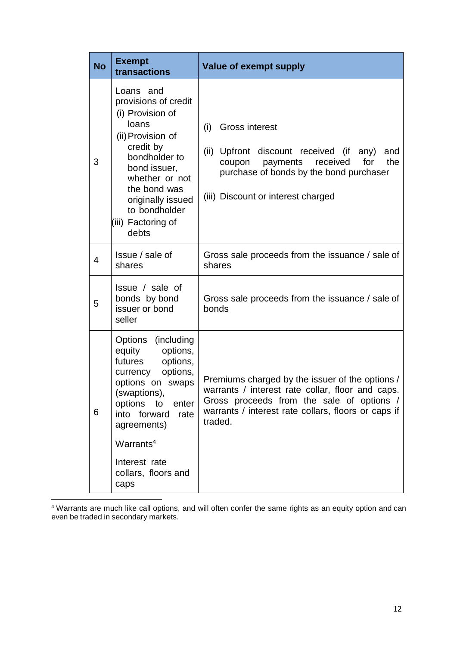| <b>No</b> | <b>Exempt</b><br>transactions                                                                                                                                                                                                                                      | <b>Value of exempt supply</b>                                                                                                                                                                                      |
|-----------|--------------------------------------------------------------------------------------------------------------------------------------------------------------------------------------------------------------------------------------------------------------------|--------------------------------------------------------------------------------------------------------------------------------------------------------------------------------------------------------------------|
| 3         | Loans<br>and<br>provisions of credit<br>(i) Provision of<br>loans<br>(ii) Provision of<br>credit by<br>bondholder to<br>bond issuer,<br>whether or not<br>the bond was<br>originally issued<br>to bondholder<br>(iii) Factoring of<br>debts                        | <b>Gross interest</b><br>(i)<br>(ii) Upfront discount received (if<br>any)<br>and<br>the<br>payments<br>received<br>for<br>coupon<br>purchase of bonds by the bond purchaser<br>(iii) Discount or interest charged |
| 4         | Issue / sale of<br>shares                                                                                                                                                                                                                                          | Gross sale proceeds from the issuance / sale of<br>shares                                                                                                                                                          |
| 5         | Issue / sale of<br>bonds by bond<br>issuer or bond<br>seller                                                                                                                                                                                                       | Gross sale proceeds from the issuance / sale of<br>bonds                                                                                                                                                           |
| 6         | Options (including<br>equity<br>options,<br>futures<br>options,<br>options,<br>currency<br>options on swaps<br>(swaptions),<br>options to<br>enter<br>into forward<br>rate<br>agreements)<br>Warrants <sup>4</sup><br>Interest rate<br>collars, floors and<br>caps | Premiums charged by the issuer of the options /<br>warrants / interest rate collar, floor and caps.<br>Gross proceeds from the sale of options /<br>warrants / interest rate collars, floors or caps if<br>traded. |

4 Warrants are much like call options, and will often confer the same rights as an equity option and can even be traded in secondary markets.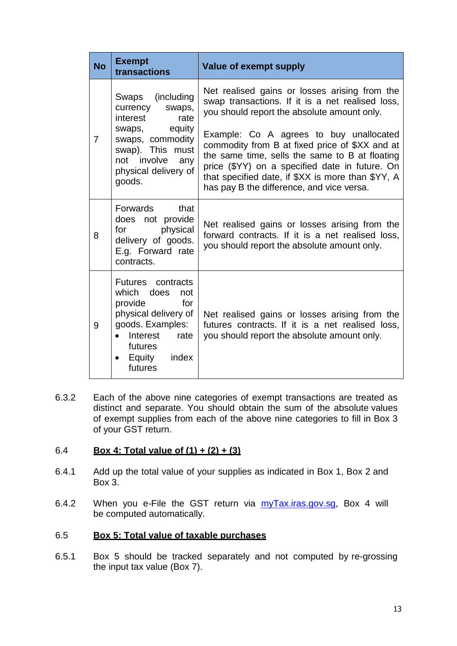| <b>No</b> | <b>Exempt</b><br>transactions                                                                                                                                                                                              | <b>Value of exempt supply</b>                                                                                                                                                                                                                                                                   |
|-----------|----------------------------------------------------------------------------------------------------------------------------------------------------------------------------------------------------------------------------|-------------------------------------------------------------------------------------------------------------------------------------------------------------------------------------------------------------------------------------------------------------------------------------------------|
| 7         | Swaps (including<br>currency swaps,<br>interest<br>rate<br>swaps, equity<br>swaps, commodity<br>swap). This must<br>not involve<br>any<br>physical delivery of<br>goods.                                                   | Net realised gains or losses arising from the<br>swap transactions. If it is a net realised loss,<br>you should report the absolute amount only.                                                                                                                                                |
|           |                                                                                                                                                                                                                            | Example: Co A agrees to buy unallocated<br>commodity from B at fixed price of \$XX and at<br>the same time, sells the same to B at floating<br>price (\$YY) on a specified date in future. On<br>that specified date, if \$XX is more than \$YY, A<br>has pay B the difference, and vice versa. |
| 8         | Forwards that<br>does not provide<br>physical<br>for the set of the set of the set of the set of the set of the set of the set of the set of the set of the set o<br>delivery of goods.<br>E.g. Forward rate<br>contracts. | Net realised gains or losses arising from the<br>forward contracts. If it is a net realised loss,<br>you should report the absolute amount only.                                                                                                                                                |
| 9         | Futures contracts<br>which does<br>not<br>for<br>provide<br>physical delivery of<br>goods. Examples:<br>Interest rate<br>$\bullet$<br>futures<br>Equity<br>index<br>$\bullet$<br>futures                                   | Net realised gains or losses arising from the<br>futures contracts. If it is a net realised loss,<br>you should report the absolute amount only.                                                                                                                                                |

6.3.2 Each of the above nine categories of exempt transactions are treated as distinct and separate. You should obtain the sum of the absolute values of exempt supplies from each of the above nine categories to fill in Box 3 of your GST return.

## 6.4 **Box 4: Total value of (1) + (2) + (3)**

- 6.4.1 Add up the total value of your supplies as indicated in Box 1, Box 2 and Box 3.
- 6.4.2 When you e-File the GST return via myTax.iras.gov.sg, Box 4 will be computed automatically.

## 6.5 **Box 5: Total value of taxable purchases**

6.5.1 Box 5 should be tracked separately and not computed by re-grossing the input tax value (Box 7).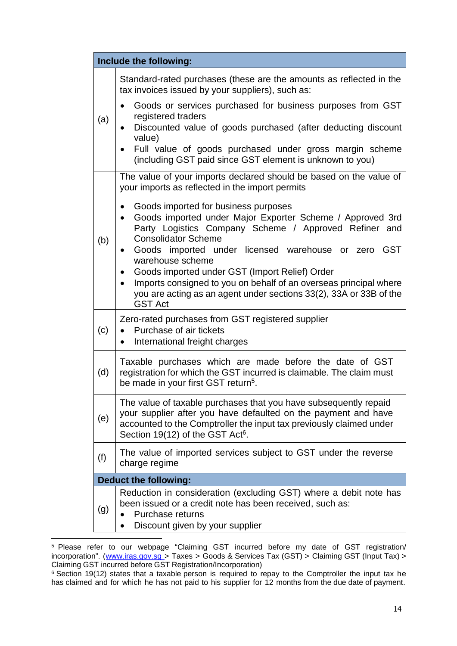| Include the following:       |                                                                                                                                                                                                                                                           |  |
|------------------------------|-----------------------------------------------------------------------------------------------------------------------------------------------------------------------------------------------------------------------------------------------------------|--|
|                              | Standard-rated purchases (these are the amounts as reflected in the<br>tax invoices issued by your suppliers), such as:                                                                                                                                   |  |
| (a)                          | Goods or services purchased for business purposes from GST<br>registered traders<br>Discounted value of goods purchased (after deducting discount<br>$\bullet$<br>value)                                                                                  |  |
|                              | Full value of goods purchased under gross margin scheme<br>$\bullet$<br>(including GST paid since GST element is unknown to you)                                                                                                                          |  |
|                              | The value of your imports declared should be based on the value of<br>your imports as reflected in the import permits                                                                                                                                     |  |
| (b)                          | Goods imported for business purposes<br>$\bullet$<br>Goods imported under Major Exporter Scheme / Approved 3rd<br>$\bullet$<br>Party Logistics Company Scheme / Approved Refiner and<br><b>Consolidator Scheme</b>                                        |  |
|                              | Goods imported under licensed warehouse or zero GST<br>$\bullet$<br>warehouse scheme                                                                                                                                                                      |  |
|                              | Goods imported under GST (Import Relief) Order<br>$\bullet$<br>Imports consigned to you on behalf of an overseas principal where<br>$\bullet$<br>you are acting as an agent under sections 33(2), 33A or 33B of the<br><b>GST Act</b>                     |  |
| (c)                          | Zero-rated purchases from GST registered supplier<br>Purchase of air tickets<br>$\bullet$<br>International freight charges<br>$\bullet$                                                                                                                   |  |
| (d)                          | Taxable purchases which are made before the date of GST<br>registration for which the GST incurred is claimable. The claim must<br>be made in your first GST return <sup>5</sup> .                                                                        |  |
| (e)                          | The value of taxable purchases that you have subsequently repaid<br>your supplier after you have defaulted on the payment and have<br>accounted to the Comptroller the input tax previously claimed under<br>Section 19(12) of the GST Act <sup>6</sup> . |  |
| (f)                          | The value of imported services subject to GST under the reverse<br>charge regime                                                                                                                                                                          |  |
| <b>Deduct the following:</b> |                                                                                                                                                                                                                                                           |  |
| (g)                          | Reduction in consideration (excluding GST) where a debit note has<br>been issued or a credit note has been received, such as:<br>Purchase returns<br>Discount given by your supplier                                                                      |  |

<sup>&</sup>lt;sup>5</sup> Please refer to our webpage "Claiming GST incurred before my date of GST registration/ incorporation". (www.iras.gov.sq > Taxes > Goods & Services Tax (GST) > Claiming GST (Input Tax) > Claiming GST incurred before GST Registration/Incorporation)

<sup>&</sup>lt;sup>6</sup> Section 19(12) states that a taxable person is required to repay to the Comptroller the input tax he has claimed and for which he has not paid to his supplier for 12 months from the due date of payment.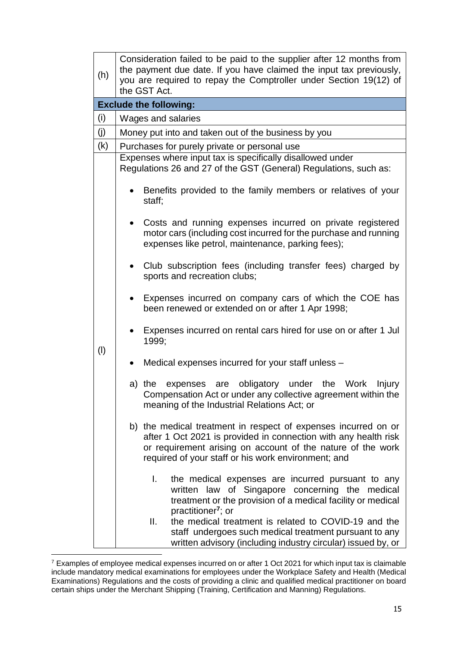| (h) | Consideration failed to be paid to the supplier after 12 months from<br>the payment due date. If you have claimed the input tax previously,<br>you are required to repay the Comptroller under Section 19(12) of<br>the GST Act.                        |  |  |
|-----|---------------------------------------------------------------------------------------------------------------------------------------------------------------------------------------------------------------------------------------------------------|--|--|
|     | <b>Exclude the following:</b>                                                                                                                                                                                                                           |  |  |
| (i) | Wages and salaries                                                                                                                                                                                                                                      |  |  |
| (j) | Money put into and taken out of the business by you                                                                                                                                                                                                     |  |  |
| (k) | Purchases for purely private or personal use                                                                                                                                                                                                            |  |  |
|     | Expenses where input tax is specifically disallowed under<br>Regulations 26 and 27 of the GST (General) Regulations, such as:                                                                                                                           |  |  |
|     | Benefits provided to the family members or relatives of your<br>staff;                                                                                                                                                                                  |  |  |
|     | Costs and running expenses incurred on private registered<br>$\bullet$<br>motor cars (including cost incurred for the purchase and running<br>expenses like petrol, maintenance, parking fees);                                                         |  |  |
|     | Club subscription fees (including transfer fees) charged by<br>$\bullet$<br>sports and recreation clubs;                                                                                                                                                |  |  |
|     | Expenses incurred on company cars of which the COE has<br>been renewed or extended on or after 1 Apr 1998;                                                                                                                                              |  |  |
| (1) | Expenses incurred on rental cars hired for use on or after 1 Jul<br>1999;                                                                                                                                                                               |  |  |
|     | Medical expenses incurred for your staff unless -<br>$\bullet$                                                                                                                                                                                          |  |  |
|     | expenses are obligatory under the Work<br>a) the<br>Injury<br>Compensation Act or under any collective agreement within the<br>meaning of the Industrial Relations Act; or                                                                              |  |  |
|     | b) the medical treatment in respect of expenses incurred on or<br>after 1 Oct 2021 is provided in connection with any health risk<br>or requirement arising on account of the nature of the work<br>required of your staff or his work environment; and |  |  |
|     | $\mathsf{L}$<br>the medical expenses are incurred pursuant to any<br>written law of Singapore concerning the medical<br>treatment or the provision of a medical facility or medical<br>practitioner <sup>7</sup> ; or                                   |  |  |
|     | the medical treatment is related to COVID-19 and the<br>Ⅱ.<br>staff undergoes such medical treatment pursuant to any<br>written advisory (including industry circular) issued by, or                                                                    |  |  |

<sup>&</sup>lt;sup>7</sup> Examples of employee medical expenses incurred on or after 1 Oct 2021 for which input tax is claimable include mandatory medical examinations for employees under the Workplace Safety and Health (Medical Examinations) Regulations and the costs of providing a clinic and qualified medical practitioner on board certain ships under the Merchant Shipping (Training, Certification and Manning) Regulations.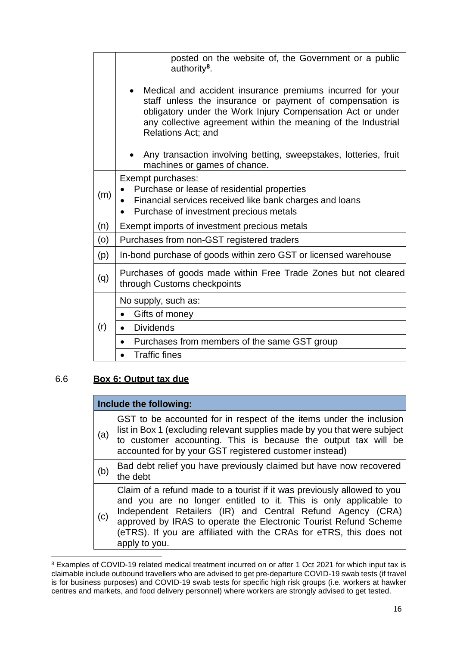|     | posted on the website of, the Government or a public<br>authority <sup>8</sup> .                                                                                                                                                                                                  |  |  |
|-----|-----------------------------------------------------------------------------------------------------------------------------------------------------------------------------------------------------------------------------------------------------------------------------------|--|--|
|     | Medical and accident insurance premiums incurred for your<br>staff unless the insurance or payment of compensation is<br>obligatory under the Work Injury Compensation Act or under<br>any collective agreement within the meaning of the Industrial<br><b>Relations Act; and</b> |  |  |
|     | Any transaction involving betting, sweepstakes, lotteries, fruit<br>machines or games of chance.                                                                                                                                                                                  |  |  |
| (m) | Exempt purchases:<br>Purchase or lease of residential properties<br>Financial services received like bank charges and loans<br>$\bullet$<br>Purchase of investment precious metals<br>$\bullet$                                                                                   |  |  |
| (n) | Exempt imports of investment precious metals                                                                                                                                                                                                                                      |  |  |
| (o) | Purchases from non-GST registered traders                                                                                                                                                                                                                                         |  |  |
| (p) | In-bond purchase of goods within zero GST or licensed warehouse                                                                                                                                                                                                                   |  |  |
| (q) | Purchases of goods made within Free Trade Zones but not cleared<br>through Customs checkpoints                                                                                                                                                                                    |  |  |
| (r) | No supply, such as:                                                                                                                                                                                                                                                               |  |  |
|     | Gifts of money<br>$\bullet$                                                                                                                                                                                                                                                       |  |  |
|     | <b>Dividends</b><br>$\bullet$                                                                                                                                                                                                                                                     |  |  |
|     | Purchases from members of the same GST group<br>$\bullet$                                                                                                                                                                                                                         |  |  |
|     | <b>Traffic fines</b><br>$\bullet$                                                                                                                                                                                                                                                 |  |  |

## 6.6 **Box 6: Output tax due**

|     | Include the following:                                                                                                                                                                                                                                                                                                                                                |  |  |
|-----|-----------------------------------------------------------------------------------------------------------------------------------------------------------------------------------------------------------------------------------------------------------------------------------------------------------------------------------------------------------------------|--|--|
| (a) | GST to be accounted for in respect of the items under the inclusion<br>list in Box 1 (excluding relevant supplies made by you that were subject<br>to customer accounting. This is because the output tax will be<br>accounted for by your GST registered customer instead)                                                                                           |  |  |
| (b) | Bad debt relief you have previously claimed but have now recovered<br>the debt                                                                                                                                                                                                                                                                                        |  |  |
| (c) | Claim of a refund made to a tourist if it was previously allowed to you<br>and you are no longer entitled to it. This is only applicable to<br>Independent Retailers (IR) and Central Refund Agency (CRA)<br>approved by IRAS to operate the Electronic Tourist Refund Scheme<br>(eTRS). If you are affiliated with the CRAs for eTRS, this does not<br>apply to you. |  |  |

<sup>&</sup>lt;sup>8</sup> Examples of COVID-19 related medical treatment incurred on or after 1 Oct 2021 for which input tax is claimable include outbound travellers who are advised to get pre-departure COVID-19 swab tests (if travel is for business purposes) and COVID-19 swab tests for specific high risk groups (i.e. workers at hawker centres and markets, and food delivery personnel) where workers are strongly advised to get tested.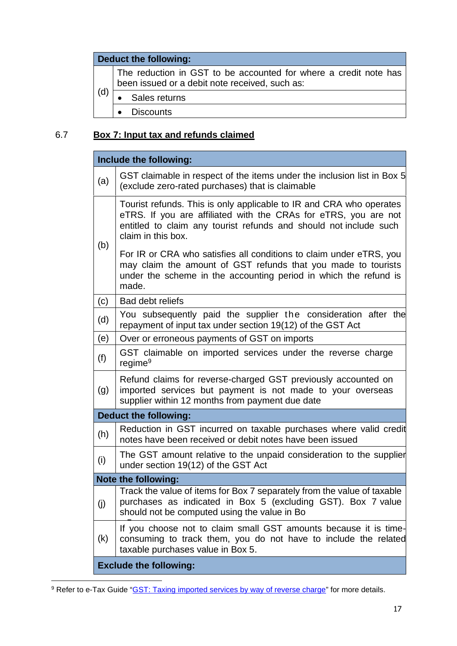## **Deduct the following:**

(d) The reduction in GST to be accounted for where a credit note has been issued or a debit note received, such as:

- Sales returns
	- Discounts

# 6.7 **Box 7: Input tax and refunds claimed**

| Include the following:                                                                                                                                                                                                                   |  |  |  |
|------------------------------------------------------------------------------------------------------------------------------------------------------------------------------------------------------------------------------------------|--|--|--|
| GST claimable in respect of the items under the inclusion list in Box 5<br>(a)<br>(exclude zero-rated purchases) that is claimable                                                                                                       |  |  |  |
| Tourist refunds. This is only applicable to IR and CRA who operates<br>eTRS. If you are affiliated with the CRAs for eTRS, you are not<br>entitled to claim any tourist refunds and should not include such<br>claim in this box.<br>(b) |  |  |  |
| For IR or CRA who satisfies all conditions to claim under eTRS, you<br>may claim the amount of GST refunds that you made to tourists<br>under the scheme in the accounting period in which the refund is<br>made.                        |  |  |  |
| (c)<br>Bad debt reliefs                                                                                                                                                                                                                  |  |  |  |
| You subsequently paid the supplier the consideration after the<br>(d)<br>repayment of input tax under section 19(12) of the GST Act                                                                                                      |  |  |  |
| (e)<br>Over or erroneous payments of GST on imports                                                                                                                                                                                      |  |  |  |
| GST claimable on imported services under the reverse charge<br>(f)<br>regime <sup>9</sup>                                                                                                                                                |  |  |  |
| Refund claims for reverse-charged GST previously accounted on<br>imported services but payment is not made to your overseas<br>(g)<br>supplier within 12 months from payment due date                                                    |  |  |  |
| <b>Deduct the following:</b>                                                                                                                                                                                                             |  |  |  |
| Reduction in GST incurred on taxable purchases where valid credit<br>(h)<br>notes have been received or debit notes have been issued                                                                                                     |  |  |  |
| The GST amount relative to the unpaid consideration to the supplier<br>(i)<br>under section 19(12) of the GST Act                                                                                                                        |  |  |  |
| Note the following:                                                                                                                                                                                                                      |  |  |  |
| Track the value of items for Box 7 separately from the value of taxable<br>purchases as indicated in Box 5 (excluding GST). Box 7 value<br>(j)<br>should not be computed using the value in Bo                                           |  |  |  |
| If you choose not to claim small GST amounts because it is time-<br>(k)<br>consuming to track them, you do not have to include the related<br>taxable purchases value in Box 5.                                                          |  |  |  |
| <b>Exclude the following:</b>                                                                                                                                                                                                            |  |  |  |

<sup>&</sup>lt;sup>9</sup> Refer to e-Tax Guide "GST: Taxing imported services by way of reverse charge" for more details.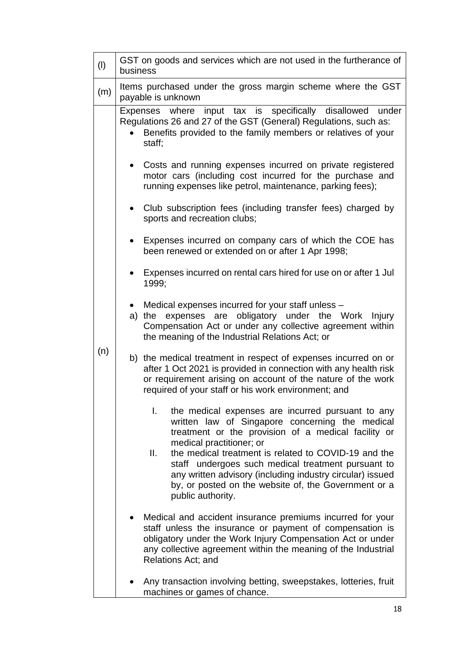| (1) | GST on goods and services which are not used in the furtherance of<br>business                                                                                                                                                                                                                                                                                                                                                                               |  |  |  |
|-----|--------------------------------------------------------------------------------------------------------------------------------------------------------------------------------------------------------------------------------------------------------------------------------------------------------------------------------------------------------------------------------------------------------------------------------------------------------------|--|--|--|
| (m) | Items purchased under the gross margin scheme where the GST<br>payable is unknown                                                                                                                                                                                                                                                                                                                                                                            |  |  |  |
| (n) | Expenses where input tax is specifically disallowed under<br>Regulations 26 and 27 of the GST (General) Regulations, such as:<br>Benefits provided to the family members or relatives of your<br>staff;                                                                                                                                                                                                                                                      |  |  |  |
|     | Costs and running expenses incurred on private registered<br>٠<br>motor cars (including cost incurred for the purchase and<br>running expenses like petrol, maintenance, parking fees);                                                                                                                                                                                                                                                                      |  |  |  |
|     | Club subscription fees (including transfer fees) charged by<br>sports and recreation clubs;                                                                                                                                                                                                                                                                                                                                                                  |  |  |  |
|     | Expenses incurred on company cars of which the COE has<br>been renewed or extended on or after 1 Apr 1998;                                                                                                                                                                                                                                                                                                                                                   |  |  |  |
|     | Expenses incurred on rental cars hired for use on or after 1 Jul<br>1999;                                                                                                                                                                                                                                                                                                                                                                                    |  |  |  |
|     | Medical expenses incurred for your staff unless -<br>expenses are obligatory under the Work<br>a)<br>the<br>Injury<br>Compensation Act or under any collective agreement within<br>the meaning of the Industrial Relations Act; or                                                                                                                                                                                                                           |  |  |  |
|     | b) the medical treatment in respect of expenses incurred on or<br>after 1 Oct 2021 is provided in connection with any health risk<br>or requirement arising on account of the nature of the work<br>required of your staff or his work environment; and                                                                                                                                                                                                      |  |  |  |
|     | the medical expenses are incurred pursuant to any<br>I.<br>written law of Singapore concerning the medical<br>treatment or the provision of a medical facility or<br>medical practitioner; or<br>II.<br>the medical treatment is related to COVID-19 and the<br>staff undergoes such medical treatment pursuant to<br>any written advisory (including industry circular) issued<br>by, or posted on the website of, the Government or a<br>public authority. |  |  |  |
|     | Medical and accident insurance premiums incurred for your<br>staff unless the insurance or payment of compensation is<br>obligatory under the Work Injury Compensation Act or under<br>any collective agreement within the meaning of the Industrial<br>Relations Act; and                                                                                                                                                                                   |  |  |  |
|     | Any transaction involving betting, sweepstakes, lotteries, fruit<br>machines or games of chance.                                                                                                                                                                                                                                                                                                                                                             |  |  |  |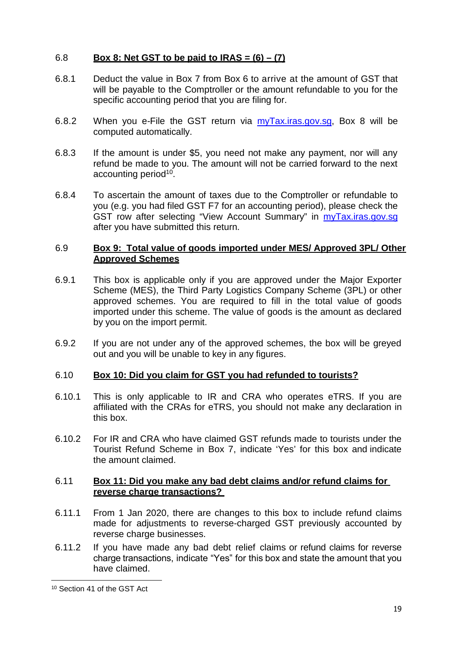## 6.8 **Box 8: Net GST to be paid to IRAS = (6) – (7)**

- 6.8.1 Deduct the value in Box 7 from Box 6 to arrive at the amount of GST that will be payable to the Comptroller or the amount refundable to you for the specific accounting period that you are filing for.
- 6.8.2 When you e-File the GST return via myTax.iras.gov.sg, Box 8 will be computed automatically.
- 6.8.3 If the amount is under \$5, you need not make any payment, nor will any refund be made to you. The amount will not be carried forward to the next accounting period<sup>10</sup>.
- 6.8.4 To ascertain the amount of taxes due to the Comptroller or refundable to you (e.g. you had filed GST F7 for an accounting period), please check the GST row after selecting "View Account Summary" in myTax.iras.gov.sg after you have submitted this return.

## 6.9 **Box 9: Total value of goods imported under MES/ Approved 3PL/ Other Approved Schemes**

- 6.9.1 This box is applicable only if you are approved under the Major Exporter Scheme (MES), the Third Party Logistics Company Scheme (3PL) or other approved schemes. You are required to fill in the total value of goods imported under this scheme. The value of goods is the amount as declared by you on the import permit.
- 6.9.2 If you are not under any of the approved schemes, the box will be greyed out and you will be unable to key in any figures.

#### 6.10 **Box 10: Did you claim for GST you had refunded to tourists?**

- 6.10.1 This is only applicable to IR and CRA who operates eTRS. If you are affiliated with the CRAs for eTRS, you should not make any declaration in this box.
- 6.10.2 For IR and CRA who have claimed GST refunds made to tourists under the Tourist Refund Scheme in Box 7, indicate 'Yes' for this box and indicate the amount claimed.

#### 6.11 **Box 11: Did you make any bad debt claims and/or refund claims for reverse charge transactions?**

- 6.11.1 From 1 Jan 2020, there are changes to this box to include refund claims made for adjustments to reverse-charged GST previously accounted by reverse charge businesses.
- 6.11.2 If you have made any bad debt relief claims or refund claims for reverse charge transactions, indicate "Yes" for this box and state the amount that you have claimed.

<sup>10</sup> Section 41 of the GST Act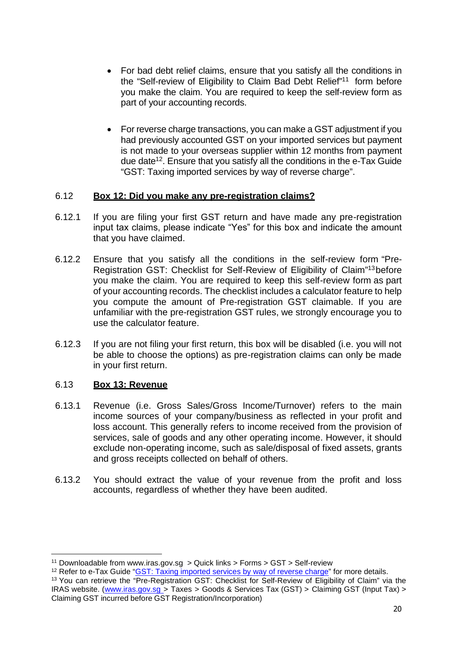- For bad debt relief claims, ensure that you satisfy all the conditions in the "Self-review of Eligibility to Claim Bad Debt Relief"<sup>11</sup> form before you make the claim. You are required to keep the self-review form as part of your accounting records.
- For reverse charge transactions, you can make a GST adjustment if you had previously accounted GST on your imported services but payment is not made to your overseas supplier within 12 months from payment due date<sup>12</sup>. Ensure that you satisfy all the conditions in the e-Tax Guide "GST: Taxing imported services by way of reverse charge".

#### 6.12 **Box 12: Did you make any pre-registration claims?**

- 6.12.1 If you are filing your first GST return and have made any pre-registration input tax claims, please indicate "Yes" for this box and indicate the amount that you have claimed.
- 6.12.2 Ensure that you satisfy all the conditions in the self-review form "Pre-Registration GST: Checklist for Self-Review of Eligibility of Claim"<sup>13</sup> before you make the claim. You are required to keep this self-review form as part of your accounting records. The checklist includes a calculator feature to help you compute the amount of Pre-registration GST claimable. If you are unfamiliar with the pre-registration GST rules, we strongly encourage you to use the calculator feature.
- 6.12.3 If you are not filing your first return, this box will be disabled (i.e. you will not be able to choose the options) as pre-registration claims can only be made in your first return.

#### 6.13 **Box 13: Revenue**

- 6.13.1 Revenue (i.e. Gross Sales/Gross Income/Turnover) refers to the main income sources of your company/business as reflected in your profit and loss account. This generally refers to income received from the provision of services, sale of goods and any other operating income. However, it should exclude non-operating income, such as sale/disposal of fixed assets, grants and gross receipts collected on behalf of others.
- 6.13.2 You should extract the value of your revenue from the profit and loss accounts, regardless of whether they have been audited.

<sup>11</sup> Downloadable from www.iras.gov.sg > Quick links > Forms > GST > Self-review

<sup>&</sup>lt;sup>12</sup> Refer to e-Tax Guide "**GST: Taxing imported services by way of reverse charge**" for more details.

<sup>&</sup>lt;sup>13</sup> You can retrieve the "Pre-Registration GST: Checklist for Self-Review of Eligibility of Claim" via the IRAS website. (www.iras.gov.sg > Taxes > Goods & Services Tax (GST) > Claiming GST (Input Tax) > Claiming GST incurred before GST Registration/Incorporation)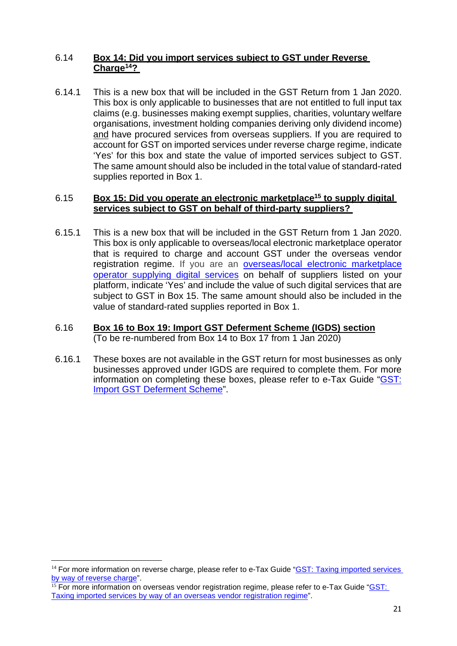## 6.14 **Box 14: Did you import services subject to GST under Reverse Charge<sup>14</sup>?**

6.14.1 This is a new box that will be included in the GST Return from 1 Jan 2020. This box is only applicable to businesses that are not entitled to full input tax claims (e.g. businesses making exempt supplies, charities, voluntary welfare organisations, investment holding companies deriving only dividend income) and have procured services from overseas suppliers. If you are required to account for GST on imported services under reverse charge regime, indicate 'Yes' for this box and state the value of imported services subject to GST. The same amount should also be included in the total value of standard-rated supplies reported in Box 1.

## 6.15 **Box 15: Did you operate an electronic marketplace<sup>15</sup> to supply digital services subject to GST on behalf of third-party suppliers?**

- 6.15.1 This is a new box that will be included in the GST Return from 1 Jan 2020. This box is only applicable to overseas/local electronic marketplace operator that is required to charge and account GST under the overseas vendor registration regime. If you are an overseas/local electronic marketplace operator supplying digital services on behalf of suppliers listed on your platform, indicate 'Yes' and include the value of such digital services that are subject to GST in Box 15. The same amount should also be included in the value of standard-rated supplies reported in Box 1.
- 6.16 **Box 16 to Box 19: Import GST Deferment Scheme (IGDS) section**  (To be re-numbered from Box 14 to Box 17 from 1 Jan 2020)
- 6.16.1 These boxes are not available in the GST return for most businesses as only businesses approved under IGDS are required to complete them. For more information on completing these boxes, please refer to e-Tax Guide "GST: Import GST Deferment Scheme".

 $14$  For more information on reverse charge, please refer to e-Tax Guide "GST: Taxing imported services by way of reverse charge".

<sup>15</sup> For more information on overseas vendor registration regime, please refer to e-Tax Guide "GST: Taxing imported services by way of an overseas vendor registration regime".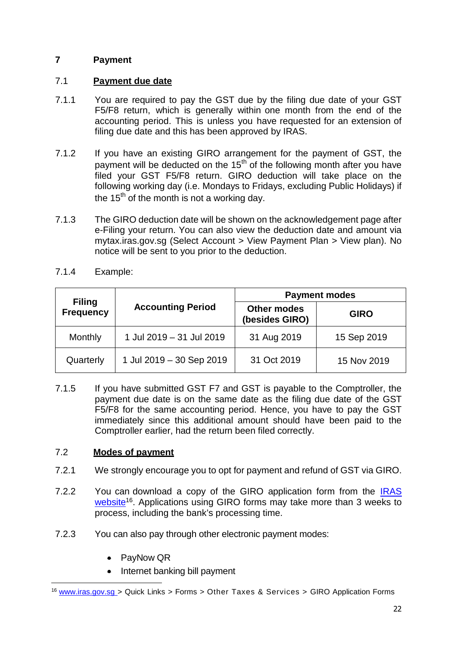## **7 Payment**

## 7.1 **Payment due date**

- 7.1.1 You are required to pay the GST due by the filing due date of your GST F5/F8 return, which is generally within one month from the end of the accounting period. This is unless you have requested for an extension of filing due date and this has been approved by IRAS.
- 7.1.2 If you have an existing GIRO arrangement for the payment of GST, the payment will be deducted on the  $15<sup>th</sup>$  of the following month after you have filed your GST F5/F8 return. GIRO deduction will take place on the following working day (i.e. Mondays to Fridays, excluding Public Holidays) if the 15<sup>th</sup> of the month is not a working day.
- 7.1.3 The GIRO deduction date will be shown on the acknowledgement page after e-Filing your return. You can also view the deduction date and amount via mytax.iras.gov.sg (Select Account > View Payment Plan > View plan). No notice will be sent to you prior to the deduction.

|                                   | <b>Accounting Period</b> | <b>Payment modes</b>                 |             |  |
|-----------------------------------|--------------------------|--------------------------------------|-------------|--|
| <b>Filing</b><br><b>Frequency</b> |                          | <b>Other modes</b><br>(besides GIRO) | <b>GIRO</b> |  |
| Monthly                           | 1 Jul 2019 - 31 Jul 2019 | 31 Aug 2019                          | 15 Sep 2019 |  |
| Quarterly                         | 1 Jul 2019 - 30 Sep 2019 | 31 Oct 2019                          | 15 Nov 2019 |  |

7.1.4 Example:

7.1.5 If you have submitted GST F7 and GST is payable to the Comptroller, the payment due date is on the same date as the filing due date of the GST F5/F8 for the same accounting period. Hence, you have to pay the GST immediately since this additional amount should have been paid to the Comptroller earlier, had the return been filed correctly.

## 7.2 **Modes of payment**

- 7.2.1 We strongly encourage you to opt for payment and refund of GST via GIRO.
- 7.2.2 You can download a copy of the GIRO application form from the IRAS website<sup>16</sup>. Applications using GIRO forms may take more than 3 weeks to process, including the bank's processing time.
- 7.2.3 You can also pay through other electronic payment modes:
	- PayNow QR
	- Internet banking bill payment

<sup>&</sup>lt;sup>16</sup> www.iras.gov.sg > Quick Links > Forms > Other Taxes & Services > GIRO Application Forms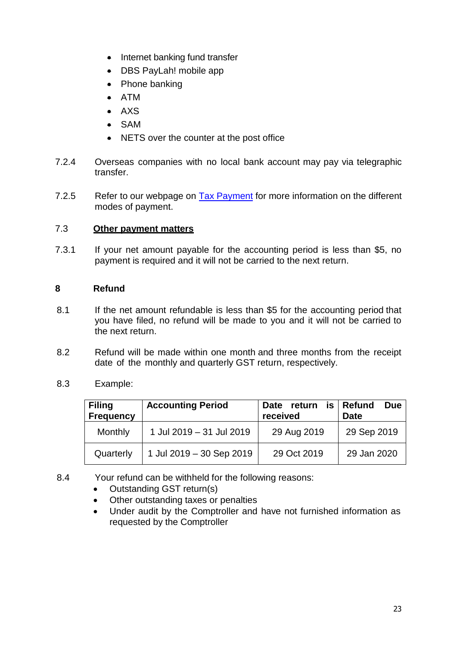- Internet banking fund transfer
- DBS PayLah! mobile app
- Phone banking
- ATM
- $\triangle$  AXS
- SAM
- NETS over the counter at the post office
- 7.2.4 Overseas companies with no local bank account may pay via telegraphic transfer.
- 7.2.5 Refer to our webpage on Tax Payment for more information on the different modes of payment.

## 7.3 **Other payment matters**

7.3.1 If your net amount payable for the accounting period is less than \$5, no payment is required and it will not be carried to the next return.

## **8 Refund**

- 8.1 If the net amount refundable is less than \$5 for the accounting period that you have filed, no refund will be made to you and it will not be carried to the next return.
- 8.2 Refund will be made within one month and three months from the receipt date of the monthly and quarterly GST return, respectively.
- 8.3 Example:

| <b>Filing</b><br><b>Frequency</b> | <b>Accounting Period</b> | Date return<br>received | $is$ Refund<br><b>Due</b><br><b>Date</b> |
|-----------------------------------|--------------------------|-------------------------|------------------------------------------|
| Monthly                           | 1 Jul 2019 - 31 Jul 2019 | 29 Aug 2019             | 29 Sep 2019                              |
| Quarterly                         | 1 Jul 2019 - 30 Sep 2019 | 29 Oct 2019             | 29 Jan 2020                              |

- 8.4 Your refund can be withheld for the following reasons:
	- Outstanding GST return(s)
	- Other outstanding taxes or penalties
	- Under audit by the Comptroller and have not furnished information as requested by the Comptroller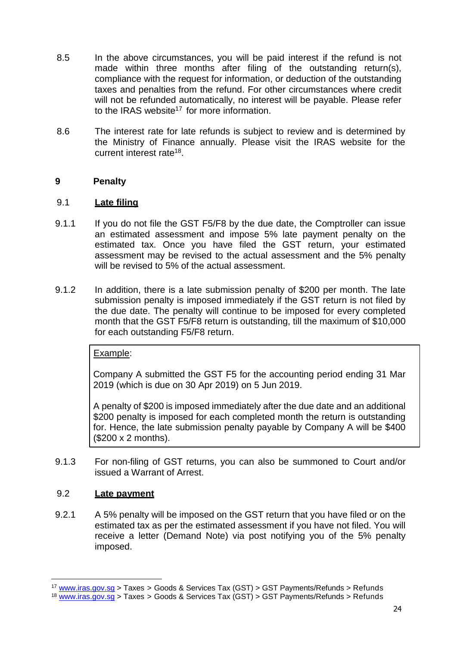- 8.5 In the above circumstances, you will be paid interest if the refund is not made within three months after filing of the outstanding return(s), compliance with the request for information, or deduction of the outstanding taxes and penalties from the refund. For other circumstances where credit will not be refunded automatically, no interest will be payable. Please refer to the IRAS website<sup>17</sup> for more information.
- 8.6 The interest rate for late refunds is subject to review and is determined by the Ministry of Finance annually. Please visit the IRAS website for the current interest rate<sup>18</sup>.

## **9 Penalty**

## 9.1 **Late filing**

- 9.1.1 If you do not file the GST F5/F8 by the due date, the Comptroller can issue an estimated assessment and impose 5% late payment penalty on the estimated tax. Once you have filed the GST return, your estimated assessment may be revised to the actual assessment and the 5% penalty will be revised to 5% of the actual assessment.
- 9.1.2 In addition, there is a late submission penalty of \$200 per month. The late submission penalty is imposed immediately if the GST return is not filed by the due date. The penalty will continue to be imposed for every completed month that the GST F5/F8 return is outstanding, till the maximum of \$10,000 for each outstanding F5/F8 return.

## Example:

Company A submitted the GST F5 for the accounting period ending 31 Mar 2019 (which is due on 30 Apr 2019) on 5 Jun 2019.

A penalty of \$200 is imposed immediately after the due date and an additional \$200 penalty is imposed for each completed month the return is outstanding for. Hence, the late submission penalty payable by Company A will be \$400 (\$200 x 2 months).

9.1.3 For non-filing of GST returns, you can also be summoned to Court and/or issued a Warrant of Arrest.

## 9.2 **Late payment**

9.2.1 A 5% penalty will be imposed on the GST return that you have filed or on the estimated tax as per the estimated assessment if you have not filed. You will receive a letter (Demand Note) via post notifying you of the 5% penalty imposed.

<sup>&</sup>lt;sup>17</sup> www.iras.gov.sg > Taxes > Goods & Services Tax (GST) > GST Payments/Refunds > Refunds

 $18$  www.iras.gov.sg > Taxes > Goods & Services Tax (GST) > GST Payments/Refunds > Refunds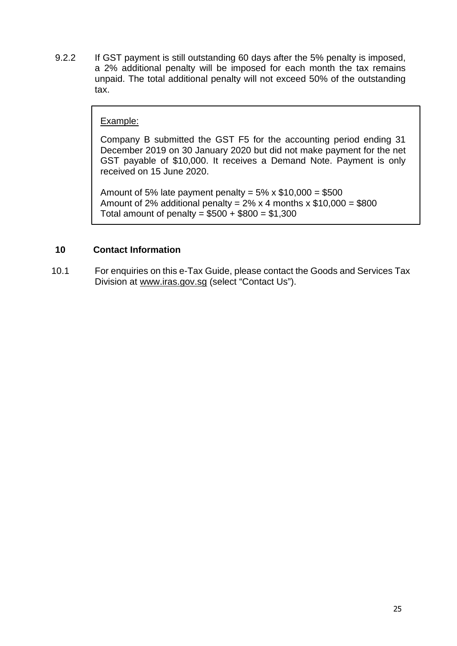9.2.2 If GST payment is still outstanding 60 days after the 5% penalty is imposed, a 2% additional penalty will be imposed for each month the tax remains unpaid. The total additional penalty will not exceed 50% of the outstanding tax.

## Example:

Company B submitted the GST F5 for the accounting period ending 31 December 2019 on 30 January 2020 but did not make payment for the net GST payable of \$10,000. It receives a Demand Note. Payment is only received on 15 June 2020.

Amount of 5% late payment penalty =  $5\%$  x  $$10,000 = $500$ Amount of 2% additional penalty =  $2\%$  x 4 months x \$10,000 = \$800 Total amount of penalty =  $$500 + $800 = $1,300$ 

## **10 Contact Information**

10.1 For enquiries on this e-Tax Guide, please contact the Goods and Services Tax Division at www.iras.gov.sg (select "Contact Us").